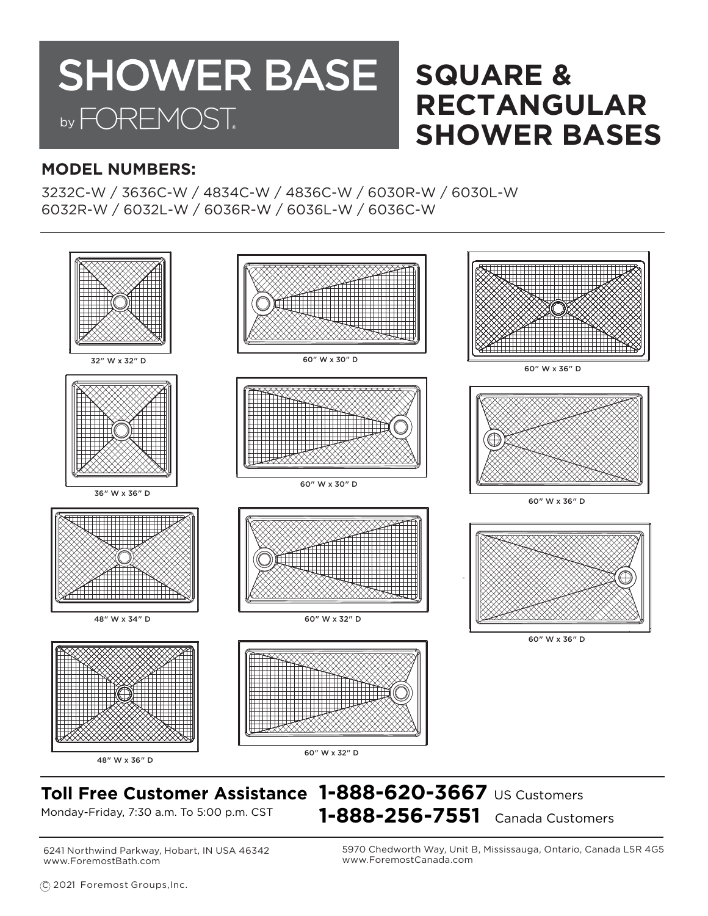## **SQUARE & RECTANGULAR SHOWER BASES** SHOWER BASE by FOREMOST.

### **MODEL NUMBERS:**

3232C-W / 3636C-W / 4834C-W / 4836C-W / 6030R-W / 6030L-W 6032R-W / 6032L-W / 6036R-W / 6036L-W / 6036C-W



## **Toll Free Customer Assistance 1-888-620-3667** US Customers Monday-Friday, 7:30 a.m. To 5:00 p.m. CST **1-888-256-7551** Canada Customers

6241 Northwind Parkway, Hobart, IN USA 46342 www.ForemostBath.com

5970 Chedworth Way, Unit B, Mississauga, Ontario, Canada L5R 4G5 www.ForemostCanada.com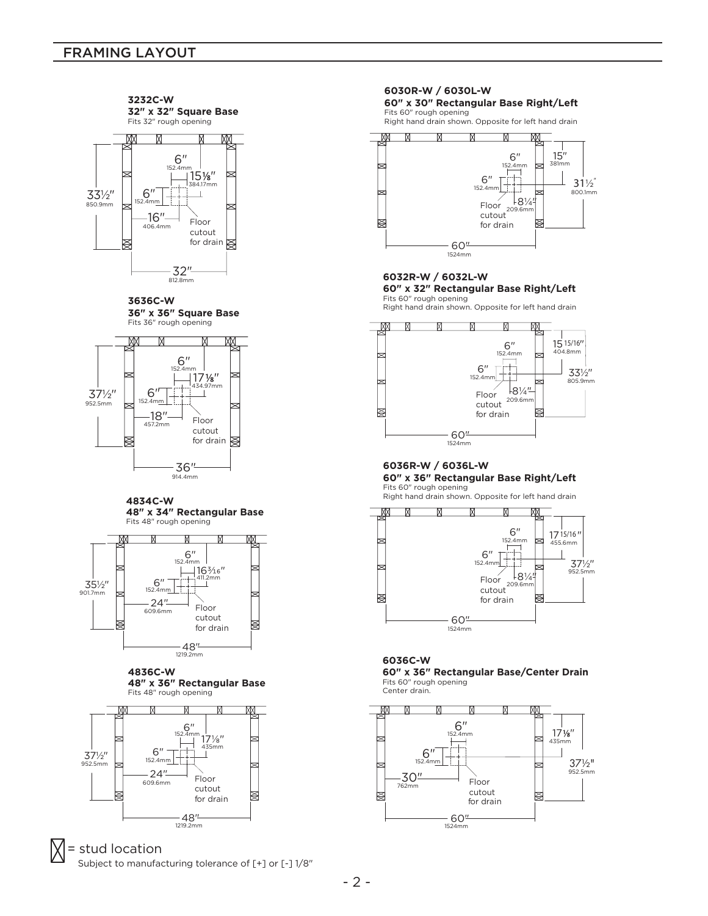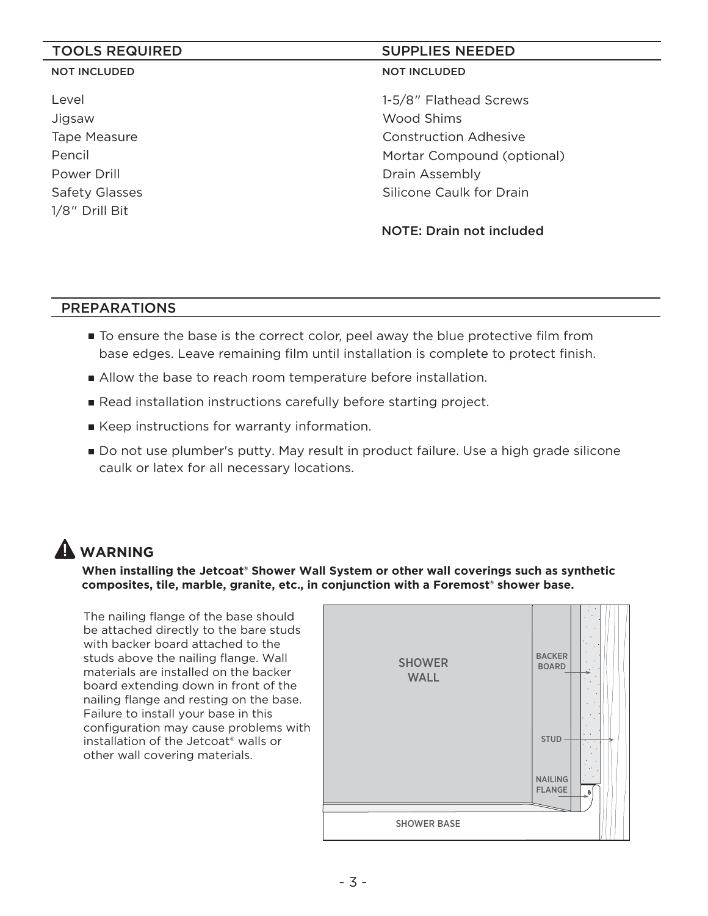#### NOT INCLUDED

Level Jigsaw Tape Measure Pencil Power Drill Safety Glasses 1/8" Drill Bit

### TOOLS REQUIRED SUPPLIES NEEDED

#### NOT INCLUDED

1-5/8" Flathead Screws Wood Shims Construction Adhesive Mortar Compound (optional) Drain Assembly Silicone Caulk for Drain

NOTE: Drain not included

#### PREPARATIONS

- To ensure the base is the correct color, peel away the blue protective film from base edges. Leave remaining film until installation is complete to protect finish.
- Allow the base to reach room temperature before installation.
- **Read installation instructions carefully before starting project.**
- Keep instructions for warranty information.
- Do not use plumber's putty. May result in product failure. Use a high grade silicone caulk or latex for all necessary locations.

## **WARNING**

**When installing the Jetcoat® Shower Wall System or other wall coverings such as synthetic**  composites, tile, marble, granite, etc., in conjunction with a Foremost<sup>®</sup> shower base.

The nailing flange of the base should be attached directly to the bare studs with backer board attached to the studs above the nailing flange. Wall materials are installed on the backer board extending down in front of the nailing flange and resting on the base. Failure to install your base in this configuration may cause problems with installation of the Jetcoat® walls or other wall covering materials.

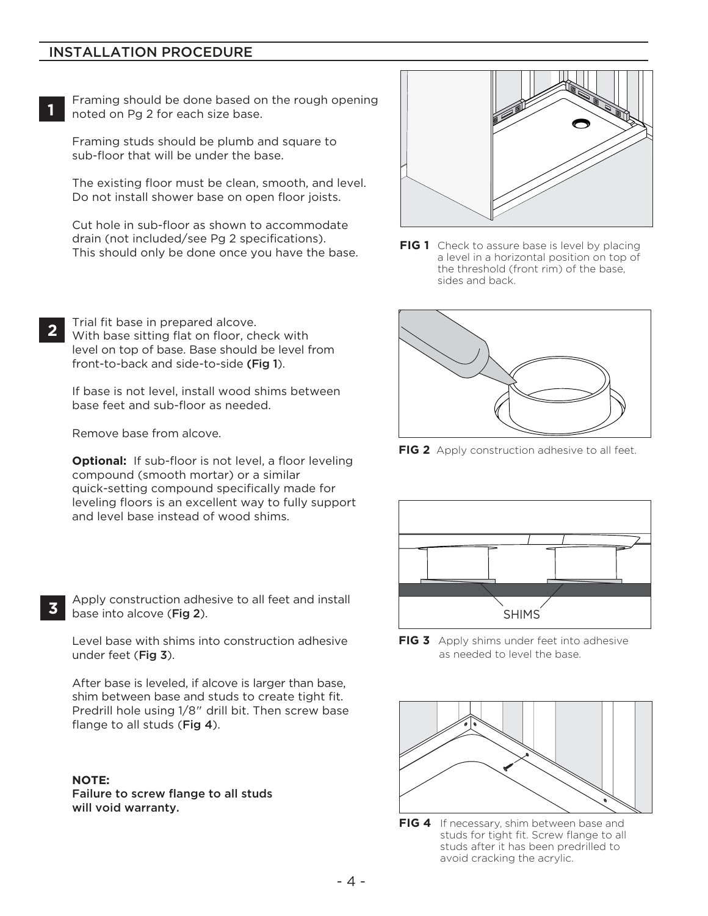#### INSTALLATION PROCEDURE

**1**

Framing should be done based on the rough opening noted on Pg 2 for each size base.

Framing studs should be plumb and square to sub-floor that will be under the base.

The existing floor must be clean, smooth, and level. Do not install shower base on open floor joists.

Cut hole in sub-floor as shown to accommodate drain (not included/see Pg 2 specifications). This should only be done once you have the base.

Trial fit base in prepared alcove. With base sitting flat on floor, check with level on top of base. Base should be level from front-to-back and side-to-side (Fig 1). **2**

If base is not level, install wood shims between<br>base feet and sub-floor as needed. base feet and sub-floor as needed.

Remove base from alcove.

**Optional:** If sub-floor is not level, a floor leveling compound (smooth mortar) or a similar quick-setting compound specifically made for leveling floors is an excellent way to fully support and level base instead of wood shims.

Apply construction adhesive to all feet and install base into alcove (Fig 2).

Level base with shims into construction adhesive under feet (Fig 3).

After base is leveled, if alcove is larger than base, shim between base and studs to create tight fit. Predrill hole using 1/8" drill bit. Then screw base flange to all studs (Fig 4).

#### **NOTE:**

**3**

Failure to screw flange to all studs will void warranty.



**FIG 1** Check to assure base is level by placing a level in a horizontal position on top of the threshold (front rim) of the base, sides and back.



**FIG 2** Apply construction adhesive to all feet.



**FIG 3** Apply shims under feet into adhesive as needed to level the base.



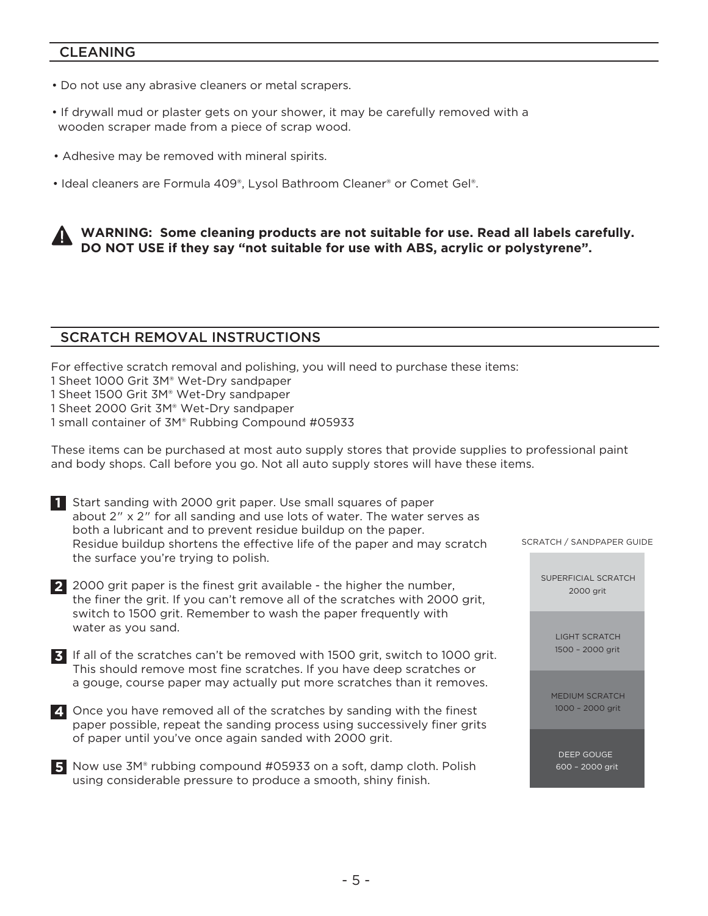#### CLEANING

- Do not use any abrasive cleaners or metal scrapers.
- If drywall mud or plaster gets on your shower, it may be carefully removed with a wooden scraper made from a piece of scrap wood.
- Adhesive may be removed with mineral spirits.
- Ideal cleaners are Formula 409®, Lysol Bathroom Cleaner® or Comet Gel®.



#### SCRATCH REMOVAL INSTRUCTIONS

For effective scratch removal and polishing, you will need to purchase these items:

- 1 Sheet 1000 Grit 3M® Wet-Dry sandpaper
- 1 Sheet 1500 Grit 3M® Wet-Dry sandpaper
- 1 Sheet 2000 Grit 3M® Wet-Dry sandpaper
- 1 small container of 3M® Rubbing Compound #05933

These items can be purchased at most auto supply stores that provide supplies to professional paint and body shops. Call before you go. Not all auto supply stores will have these items.

| Start sanding with 2000 grit paper. Use small squares of paper           |
|--------------------------------------------------------------------------|
| about 2" x 2" for all sanding and use lots of water. The water serves as |
| both a lubricant and to prevent residue buildup on the paper.            |
| Residue buildup shortens the effective life of the paper and may scratch |
| the surface you're trying to polish.                                     |

| 2 2000 grit paper is the finest grit available - the higher the number,      |
|------------------------------------------------------------------------------|
| the finer the grit. If you can't remove all of the scratches with 2000 grit, |
| switch to 1500 grit. Remember to wash the paper frequently with              |
| water as you sand.                                                           |

If all of the scratches can't be removed with 1500 grit, switch to 1000 grit. **3** This should remove most fine scratches. If you have deep scratches or a gouge, course paper may actually put more scratches than it removes.

- Once you have removed all of the scratches by sanding with the finest **4** paper possible, repeat the sanding process using successively finer grits of paper until you've once again sanded with 2000 grit.
- Now use 3M® rubbing compound #05933 on a soft, damp cloth. Polish **5** using considerable pressure to produce a smooth, shiny finish.

SCRATCH / SANDPAPER GUIDE

SUPERFICIAL SCRATCH 2000 grit

> LIGHT SCRATCH 1500 – 2000 grit

MEDIUM SCRATCH 1000 – 2000 grit

DEEP GOUGE 600 – 2000 grit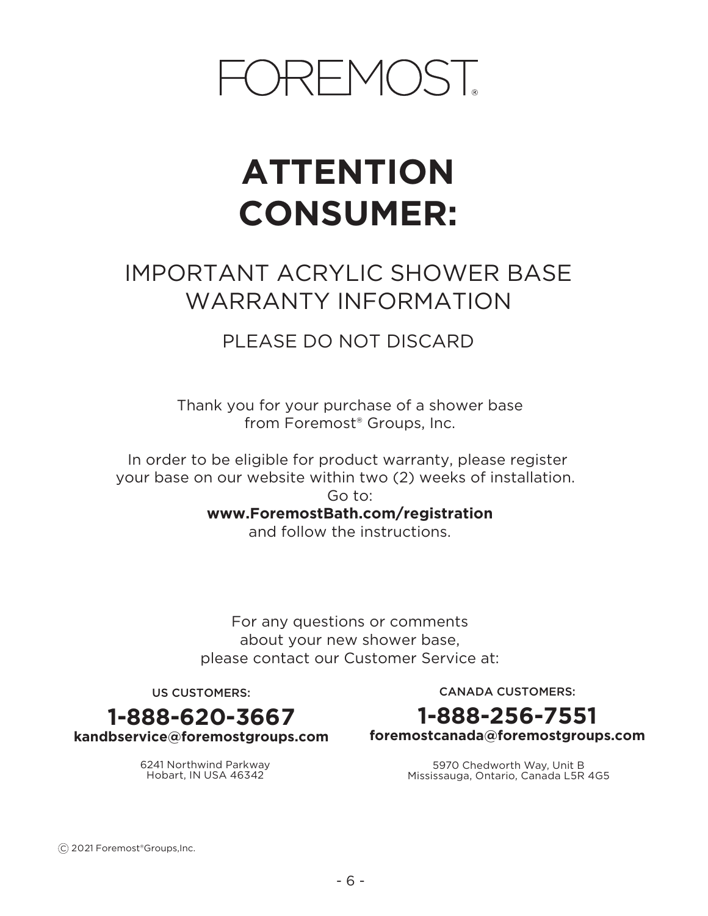

## **ATTENTION CONSUMER:**

## IMPORTANT ACRYLIC SHOWER BASE WARRANTY INFORMATION

## PLEASE DO NOT DISCARD

Thank you for your purchase of a shower base from Foremost® Groups, Inc.

In order to be eligible for product warranty, please register your base on our website within two (2) weeks of installation. Go to:

**www.ForemostBath.com/registration**

and follow the instructions.

For any questions or comments about your new shower base, please contact our Customer Service at:

US CUSTOMERS:

CANADA CUSTOMERS:



**foremostcanada@foremostgroups.com**

5970 Chedworth Way, Unit B Mississauga, Ontario, Canada L5R 4G5

**1-888-620-3667 kandbservice@foremostgroups.com**

> 6241 Northwind Parkway Hobart, IN USA 46342

C 2021 Foremost®Groups,Inc.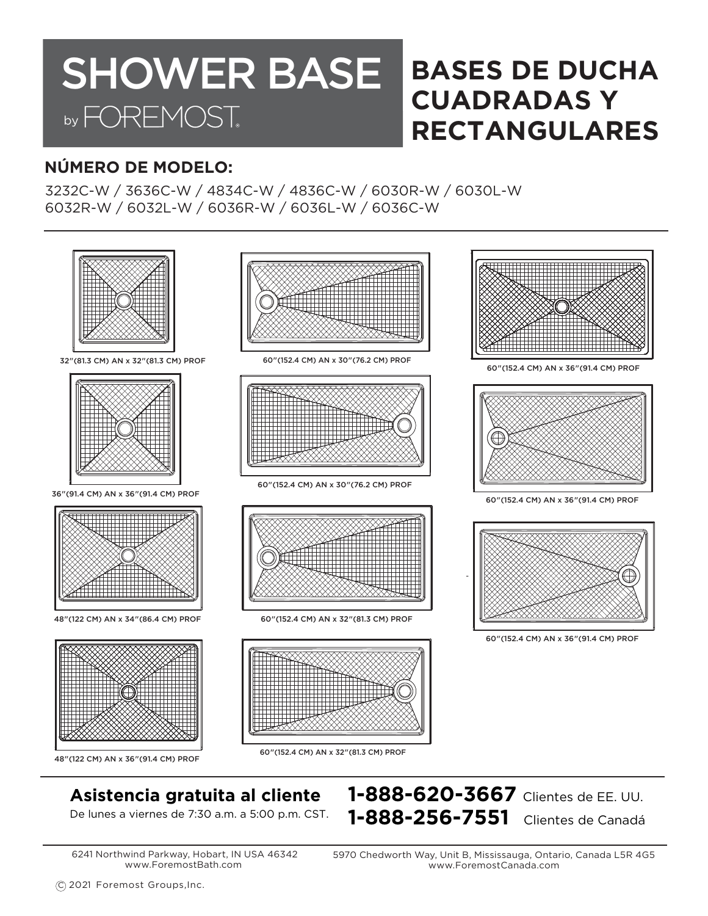## **BASES DE DUCHA CUADRADAS Y RECTANGULARES SHOWER BASE** by FOREMOST.

## **NÚMERO DE MODELO:**

3232C-W / 3636C-W / 4834C-W / 4836C-W / 6030R-W / 6030L-W 6032R-W / 6032L-W / 6036R-W / 6036L-W / 6036C-W



## **Asistencia gratuita al cliente 1-888-620-3667** Clientes de EE. UU.

De lunes a viernes de 7:30 a.m. a 5:00 p.m. CST. **1-888-256-7551** Clientes de Canadá

6241 Northwind Parkway, Hobart, IN USA 46342 www.ForemostBath.com

5970 Chedworth Way, Unit B, Mississauga, Ontario, Canada L5R 4G5 www.ForemostCanada.com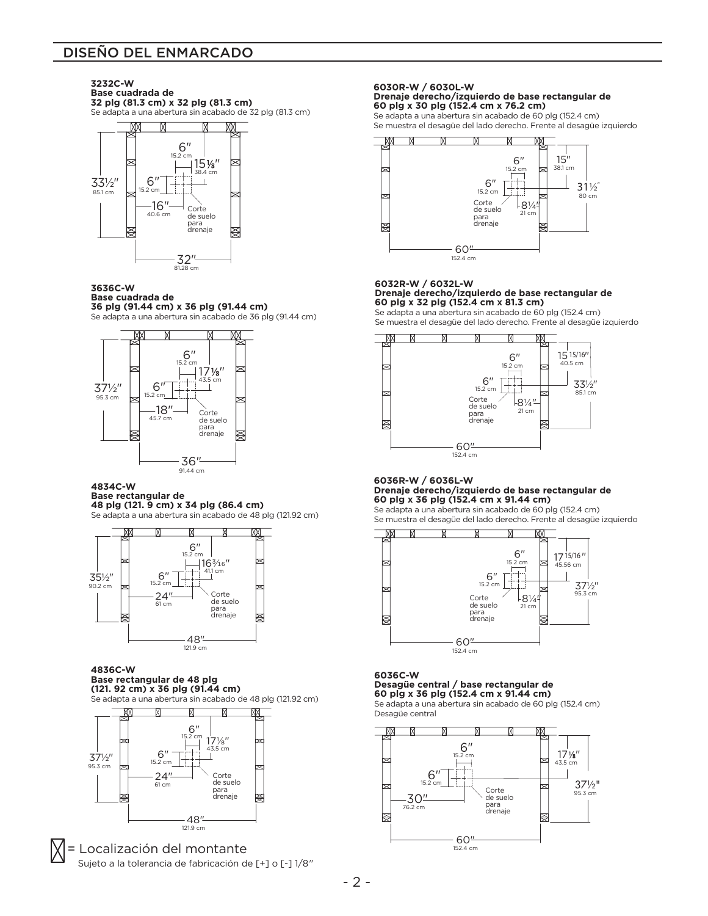#### DISEÑO DEL ENMARCADO

**3232C-W Base cuadrada de 32 plg (81.3 cm) x 32 plg (81.3 cm)** Se adapta a una abertura sin acabado de 32 plg (81.3 cm)



#### **3636C-W Base cuadrada de**

**36 plg (91.44 cm) x 36 plg (91.44 cm)** Se adapta a una abertura sin acabado de 36 plg (91.44 cm)



#### **4834C-W**

#### **Base rectangular de 48 plg (121. 9 cm) x 34 plg (86.4 cm)**

Se adapta a una abertura sin acabado de 48 plg (121.92 cm)



#### **4836C-W Base rectangular de 48 plg (121. 92 cm) x 36 plg (91.44 cm)**

Se adapta a una abertura sin acabado de 48 plg (121.92 cm)



= Localización del montante Sujeto a la tolerancia de fabricación de [+] o [-] 1/8"

#### **6030R-W / 6030L-W Drenaje derecho/izquierdo de base rectangular de 60 plg x 30 plg (152.4 cm x 76.2 cm)**

Se adapta a una abertura sin acabado de 60 plg (152.4 cm) Se muestra el desagüe del lado derecho. Frente al desagüe izquierdo



#### **6032R-W / 6032L-W Drenaje derecho/izquierdo de base rectangular de 60 plg x 32 plg (152.4 cm x 81.3 cm)**

Se adapta a una abertura sin acabado de 60 plg (152.4 cm) Se muestra el desagüe del lado derecho. Frente al desagüe izquierdo



#### **6036R-W / 6036L-W Drenaje derecho/izquierdo de base rectangular de 60 plg x 36 plg (152.4 cm x 91.44 cm)**

Se adapta a una abertura sin acabado de 60 plg (152.4 cm) Se muestra el desagüe del lado derecho. Frente al desagüe izquierdo



#### **6036C-W Desagüe central / base rectangular de 60 plg x 36 plg (152.4 cm x 91.44 cm)**

Se adapta a una abertura sin acabado de 60 plg (152.4 cm) Desagüe central

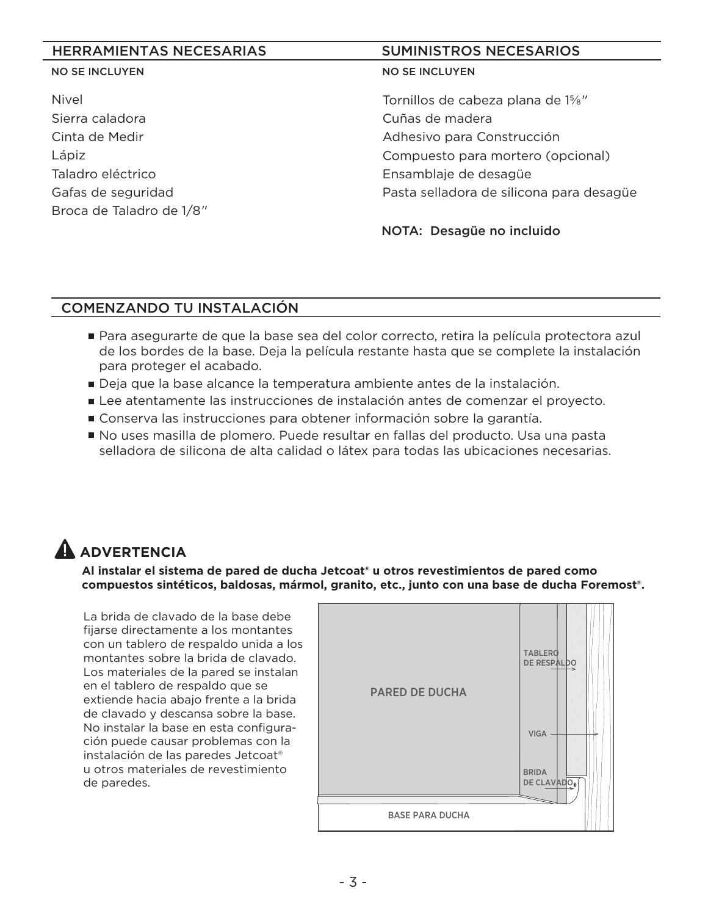#### HERRAMIENTAS NECESARIAS SUMINISTROS NECESARIOS

#### NO SE INCLUYEN

Nivel Sierra caladora Cinta de Medir Lápiz Taladro eléctrico Gafas de seguridad Broca de Taladro de 1/8"

#### NO SE INCLUYEN

Tornillos de cabeza plana de 1⅝" Cuñas de madera Adhesivo para Construcción Compuesto para mortero (opcional) Ensamblaje de desagüe Pasta selladora de silicona para desagüe

NOTA: Desagüe no incluido

### COMENZANDO TU INSTALACIÓN

- Para asegurarte de que la base sea del color correcto, retira la película protectora azul de los bordes de la base. Deja la película restante hasta que se complete la instalación para proteger el acabado.
- Deja que la base alcance la temperatura ambiente antes de la instalación.
- Lee atentamente las instrucciones de instalación antes de comenzar el proyecto.
- Conserva las instrucciones para obtener información sobre la garantía.
- No uses masilla de plomero. Puede resultar en fallas del producto. Usa una pasta selladora de silicona de alta calidad o látex para todas las ubicaciones necesarias.

## **ADVERTENCIA**

**Al instalar el sistema de pared de ducha Jetcoat® u otros revestimientos de pared como compuestos sintéticos, baldosas, mármol, granito, etc., junto con una base de ducha Foremost®.**

La brida de clavado de la base debe fijarse directamente a los montantes con un tablero de respaldo unida a los montantes sobre la brida de clavado. Los materiales de la pared se instalan en el tablero de respaldo que se extiende hacia abajo frente a la brida de clavado y descansa sobre la base. No instalar la base en esta configuración puede causar problemas con la instalación de las paredes Jetcoat® u otros materiales de revestimiento de paredes.

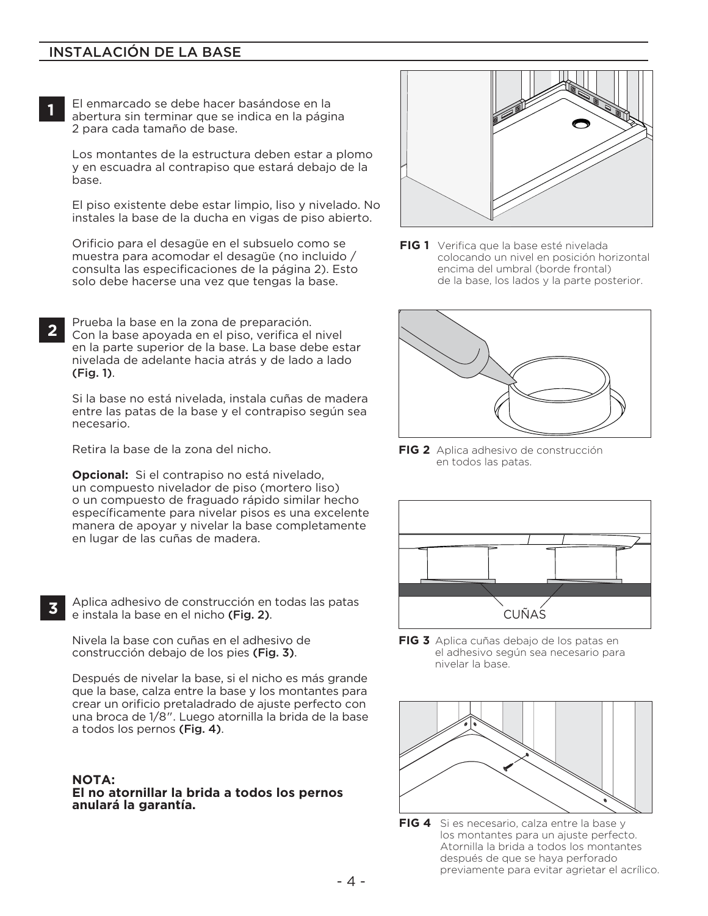#### INSTALACIÓN DE LA BASE

El enmarcado se debe hacer basándose en la abertura sin terminar que se indica en la página 2 para cada tamaño de base.

Los montantes de la estructura deben estar a plomo y en escuadra al contrapiso que estará debajo de la base.

El piso existente debe estar limpio, liso y nivelado. No instales la base de la ducha en vigas de piso abierto.

Orificio para el desagüe en el subsuelo como se muestra para acomodar el desagüe (no incluido / consulta las especificaciones de la página 2). Esto solo debe hacerse una vez que tengas la base.

Prueba la base en la zona de preparación. Con la base apoyada en el piso, verifica el nivel en la parte superior de la base. La base debe estar nivelada de adelante hacia atrás y de lado a lado (Fig. 1). **2**

Si la base no está nivelada, instala cuñas de madera **A** entre las patas de la base y el contrapiso según sea necesario.

Retira la base de la zona del nicho.

**Opcional:** Si el contrapiso no está nivelado, un compuesto nivelador de piso (mortero liso) o un compuesto de fraguado rápido similar hecho específicamente para nivelar pisos es una excelente manera de apoyar y nivelar la base completamente en lugar de las cuñas de madera.

**3**

**1**

Aplica adhesivo de construcción en todas las patas e instala la base en el nicho (Fig. 2).

Nivela la base con cuñas en el adhesivo de construcción debajo de los pies (Fig. 3).

Después de nivelar la base, si el nicho es más grande que la base, calza entre la base y los montantes para crear un orificio pretaladrado de ajuste perfecto con una broca de 1/8". Luego atornilla la brida de la base a todos los pernos (Fig. 4).

#### **NOTA:**

**El no atornillar la brida a todos los pernos anulará la garantía.**



**FIG 1** Verifica que la base esté nivelada colocando un nivel en posición horizontal encima del umbral (borde frontal) de la base, los lados y la parte posterior.



**FIG 2** Aplica adhesivo de construcción en todos las patas.



**FIG 3** Aplica cuñas debajo de los patas en el adhesivo según sea necesario para nivelar la base.



**FIG 4** Si es necesario, calza entre la base y los montantes para un ajuste perfecto. Atornilla la brida a todos los montantes después de que se haya perforado previamente para evitar agrietar el acrílico.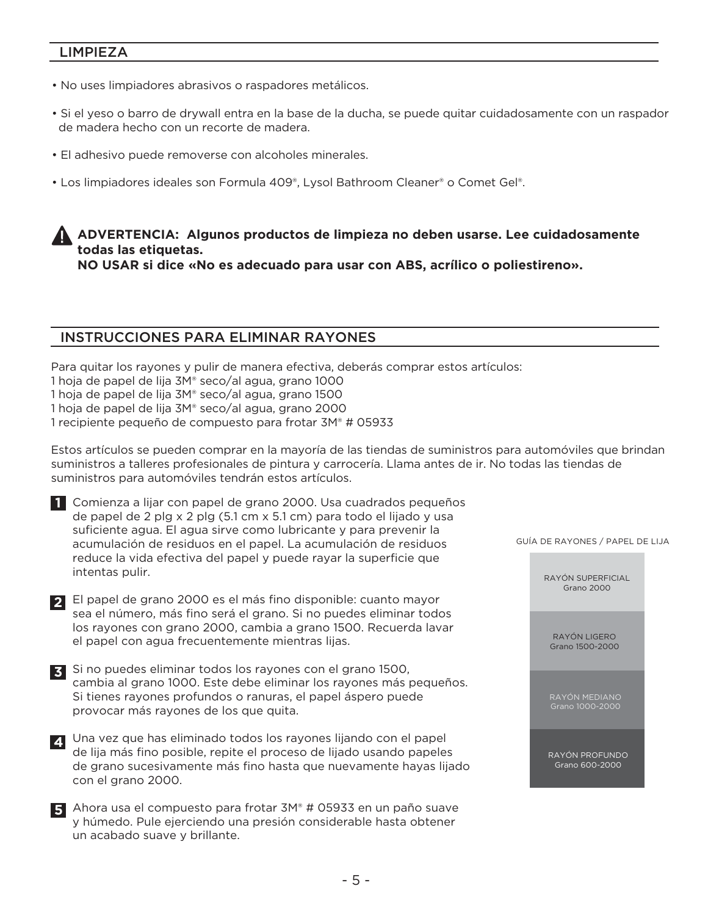#### LIMPIEZA

- No uses limpiadores abrasivos o raspadores metálicos.
- Si el yeso o barro de drywall entra en la base de la ducha, se puede quitar cuidadosamente con un raspador de madera hecho con un recorte de madera.
- El adhesivo puede removerse con alcoholes minerales.
- Los limpiadores ideales son Formula 409®, Lysol Bathroom Cleaner® o Comet Gel®.

### **ADVERTENCIA: Algunos productos de limpieza no deben usarse. Lee cuidadosamente todas las etiquetas.**

**NO USAR si dice «No es adecuado para usar con ABS, acrílico o poliestireno».**

#### INSTRUCCIONES PARA ELIMINAR RAYONES

Para quitar los rayones y pulir de manera efectiva, deberás comprar estos artículos: 1 hoja de papel de lija 3M® seco/al agua, grano 1000 1 hoja de papel de lija 3M® seco/al agua, grano 1500 1 hoja de papel de lija 3M® seco/al agua, grano 2000 1 recipiente pequeño de compuesto para frotar 3M® # 05933

Estos artículos se pueden comprar en la mayoría de las tiendas de suministros para automóviles que brindan suministros a talleres profesionales de pintura y carrocería. Llama antes de ir. No todas las tiendas de suministros para automóviles tendrán estos artículos.



 **1** Comienza a lijar con papel de grano 2000. Usa cuadrados pequeños de papel de 2 plg x 2 plg (5.1 cm x 5.1 cm) para todo el lijado y usa suficiente agua. El agua sirve como lubricante y para prevenir la acumulación de residuos en el papel. La acumulación de residuos reduce la vida efectiva del papel y puede rayar la superficie que intentas pulir.

El papel de grano 2000 es el más fino disponible: cuanto mayor **2** sea el número, más fino será el grano. Si no puedes eliminar todos los rayones con grano 2000, cambia a grano 1500. Recuerda lavar el papel con agua frecuentemente mientras lijas.

**3** Si no puedes eliminar todos los rayones con el grano 1500, cambia al grano 1000. Este debe eliminar los rayones más pequeños. Si tienes rayones profundos o ranuras, el papel áspero puede provocar más rayones de los que quita.

Una vez que has eliminado todos los rayones lijando con el papel **4** de lija más fino posible, repite el proceso de lijado usando papeles de grano sucesivamente más fino hasta que nuevamente hayas lijado con el grano 2000.

Ahora usa el compuesto para frotar 3M® # 05933 en un paño suave **5** y húmedo. Pule ejerciendo una presión considerable hasta obtener un acabado suave y brillante.

GUÍA DE RAYONES / PAPEL DE LIJA

RAYÓN SUPERFICIAL Grano 2000

RAYÓN LIGERO Grano 1500-2000

RAYÓN MEDIANO Grano 1000-2000

RAYÓN PROFUNDO Grano 600-2000

- 5 -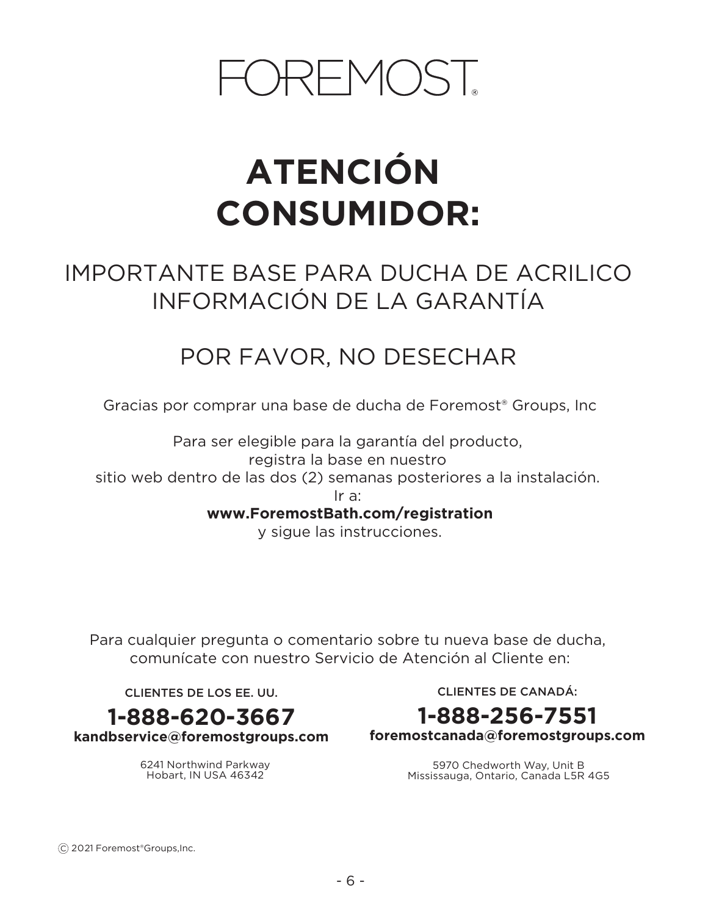# OREMOST

# **ATENCIÓN CONSUMIDOR:**

## IMPORTANTE BASE PARA DUCHA DE ACRILICO INFORMACIÓN DE LA GARANTÍA

## POR FAVOR, NO DESECHAR

Gracias por comprar una base de ducha de Foremost® Groups, Inc

Para ser elegible para la garantía del producto, registra la base en nuestro sitio web dentro de las dos (2) semanas posteriores a la instalación. Ir a: **www.ForemostBath.com/registration**

y sigue las instrucciones.

Para cualquier pregunta o comentario sobre tu nueva base de ducha, comunícate con nuestro Servicio de Atención al Cliente en:

CLIENTES DE LOS EE. UU.

**1-888-620-3667**

**kandbservice@foremostgroups.com**

6241 Northwind Parkway Hobart, IN USA 46342

CLIENTES DE CANADÁ:

## **1-888-256-7551**

**foremostcanada@foremostgroups.com**

5970 Chedworth Way, Unit B Mississauga, Ontario, Canada L5R 4G5

C 2021 Foremost®Groups,Inc.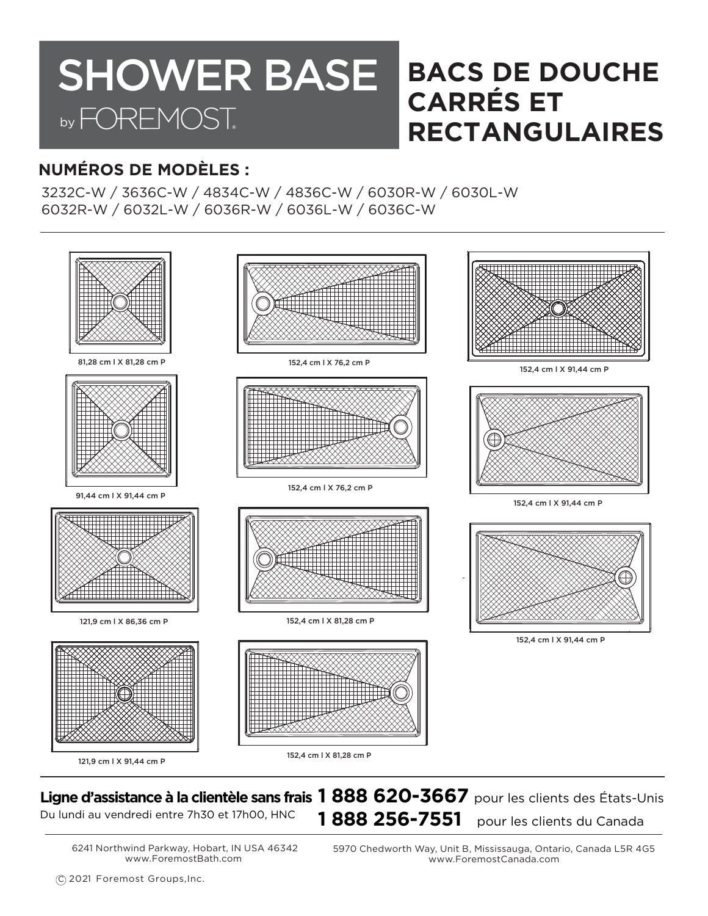## **BACS DE DOUCHE CARRÉS ET RECTANGULAIRES** SHOWER BASE by FOREMOST.

## **NUMÉROS DE MODÈLES :**

3232C-W / 3636C-W / 4834C-W / 4836C-W / 6030R-W / 6030L-W 6032R-W / 6032L-W / 6036R-W / 6036L-W / 6036C-W



## **Ligne d'assistance à la clientèle sans frais 1 888 620-3667** pour les clients des États-Unis Du lundi au vendredi entre 7h30 et 17h00, HNC **1888 256-7551** pour les clients du Canada

6241 Northwind Parkway, Hobart, IN USA 46342 www.ForemostBath.com

5970 Chedworth Way, Unit B, Mississauga, Ontario, Canada L5R 4G5 www.ForemostCanada.com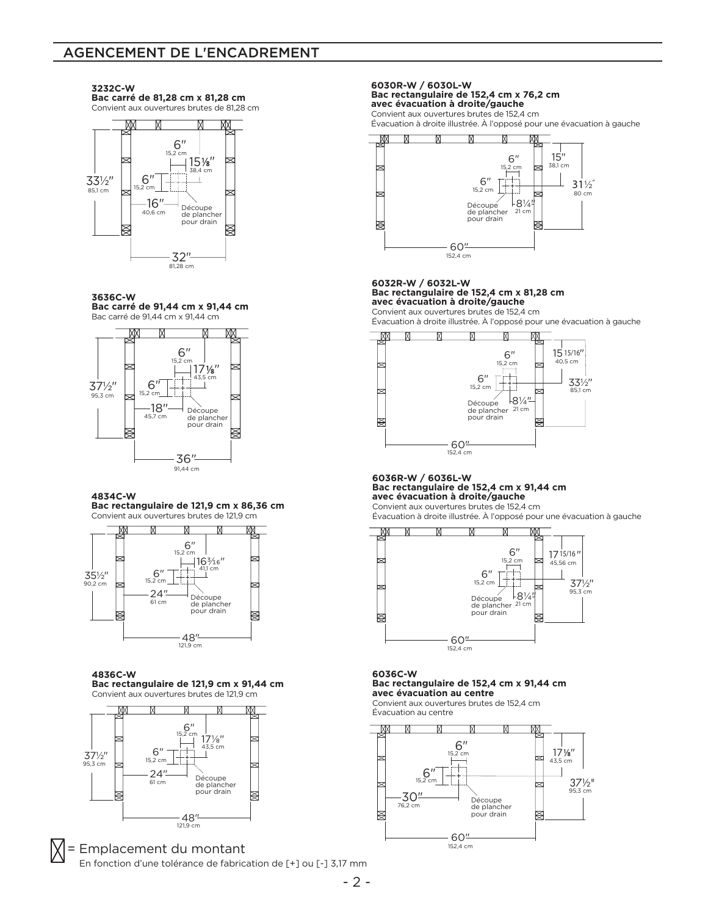#### AGENCEMENT DE L'ENCADREMENT



**Bac carré de 81,28 cm x 81,28 cm**

**3232C-W** 

**3636C-W**





#### **4834C-W**

#### **Bac rectangulaire de 121,9 cm x 86,36 cm** Convient aux ouvertures brutes de 121,9 cm



#### **4836C-W**

**Bac rectangulaire de 121,9 cm x 91,44 cm** Convient aux ouvertures brutes de 121,9 cm



#### = Emplacement du montant En fonction d'une tolérance de fabrication de [+] ou [-] 3,17 mm

#### **6030R-W / 6030L-W Bac rectangulaire de 152,4 cm x 76,2 cm**

**avec évacuation à droite/gauche** Convient aux ouvertures brutes de 152,4 cm

Évacuation à droite illustrée. À l'opposé pour une évacuation à gauche



Ī

#### **6032R-W / 6032L-W Bac rectangulaire de 152,4 cm x 81,28 cm avec évacuation à droite/gauche** Convient aux ouvertures brutes de 152,4 cm

Évacuation à droite illustrée. À l'opposé pour une évacuation à gauche



#### **6036R-W / 6036L-W Bac rectangulaire de 152,4 cm x 91,44 cm avec évacuation à droite/gauche**

Convient aux ouvertures brutes de 152,4 cm

Évacuation à droite illustrée. À l'opposé pour une évacuation à gauche



#### **6036C-W Bac rectangulaire de 152,4 cm x 91,44 cm avec évacuation au centre**

Convient aux ouvertures brutes de 152,4 cm Évacuation au centre

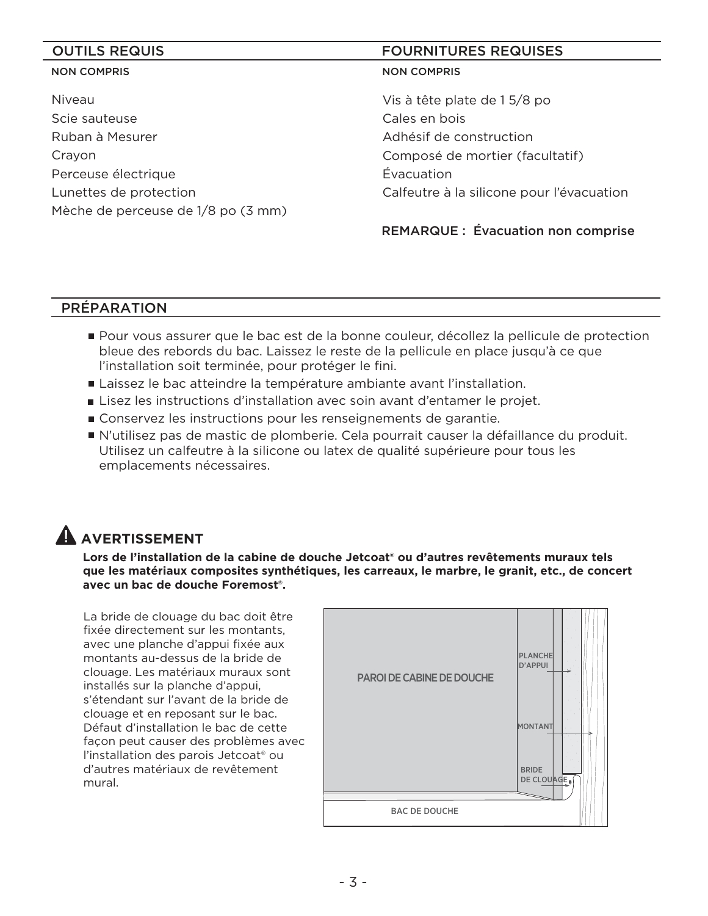#### NON COMPRIS

Niveau Scie sauteuse Ruban à Mesurer Crayon Perceuse électrique Lunettes de protection Mèche de perceuse de 1/8 po (3 mm)

#### OUTILS REQUIS **EXECUTES A** REQUISES **FOURNITURES** REQUISES

#### NON COMPRIS

Vis à tête plate de 1 5/8 po Cales en bois Adhésif de construction Composé de mortier (facultatif) Évacuation Calfeutre à la silicone pour l'évacuation

REMARQUE : Évacuation non comprise

### PRÉPARATION

- Pour vous assurer que le bac est de la bonne couleur, décollez la pellicule de protection bleue des rebords du bac. Laissez le reste de la pellicule en place jusqu'à ce que l'installation soit terminée, pour protéger le fini.
- Laissez le bac atteindre la température ambiante avant l'installation.
- Lisez les instructions d'installation avec soin avant d'entamer le projet.
- Conservez les instructions pour les renseignements de garantie.
- N'utilisez pas de mastic de plomberie. Cela pourrait causer la défaillance du produit. Utilisez un calfeutre à la silicone ou latex de qualité supérieure pour tous les emplacements nécessaires.

## **A** AVERTISSEMENT

**Lors de l'installation de la cabine de douche Jetcoat® ou d'autres revêtements muraux tels que les matériaux composites synthétiques, les carreaux, le marbre, le granit, etc., de concert avec un bac de douche Foremost®.**

La bride de clouage du bac doit être fixée directement sur les montants, avec une planche d'appui fixée aux montants au-dessus de la bride de clouage. Les matériaux muraux sont installés sur la planche d'appui, s'étendant sur l'avant de la bride de clouage et en reposant sur le bac. Défaut d'installation le bac de cette façon peut causer des problèmes avec l'installation des parois Jetcoat® ou d'autres matériaux de revêtement mural.

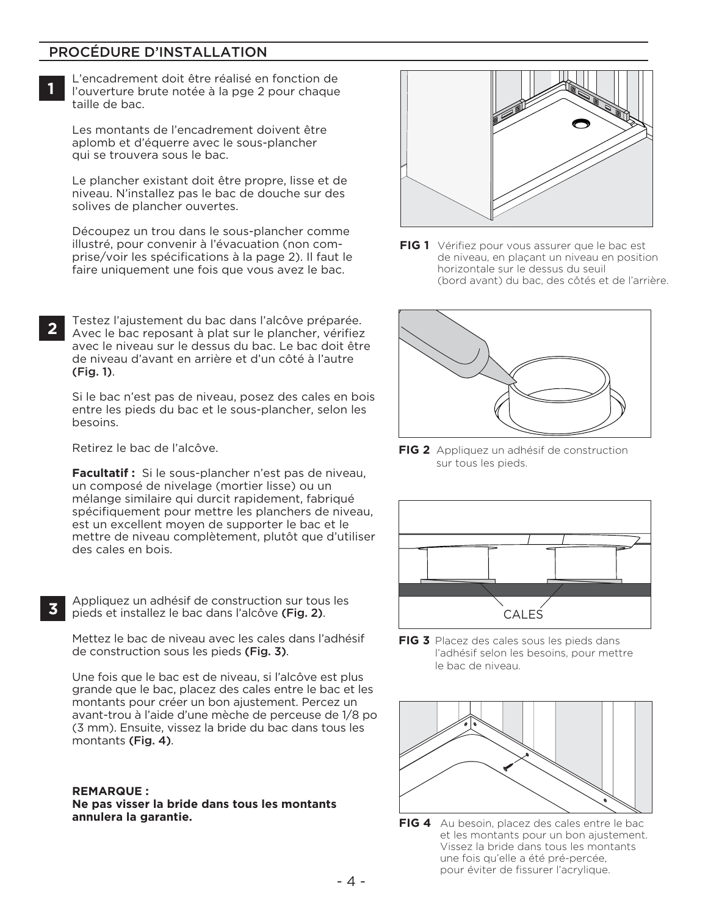### PROCÉDURE D'INSTALLATION

L'encadrement doit être réalisé en fonction de l'ouverture brute notée à la pge 2 pour chaque taille de bac.

Les montants de l'encadrement doivent être aplomb et d'équerre avec le sous-plancher qui se trouvera sous le bac.

Le plancher existant doit être propre, lisse et de niveau. N'installez pas le bac de douche sur des solives de plancher ouvertes.

Découpez un trou dans le sous-plancher comme illustré, pour convenir à l'évacuation (non comprise/voir les spécifications à la page 2). Il faut le faire uniquement une fois que vous avez le bac.

Testez l'ajustement du bac dans l'alcôve préparée. Avec le bac reposant à plat sur le plancher, vérifiez avec le niveau sur le dessus du bac. Le bac doit être de niveau d'avant en arrière et d'un côté à l'autre (Fig. 1). **2**

Si le bac n'est pas de niveau, posez des cales en bois **A** entre les pieds du bac et le sous-plancher, selon les besoins.

Retirez le bac de l'alcôve.

**Facultatif :** Si le sous-plancher n'est pas de niveau, un composé de nivelage (mortier lisse) ou un mélange similaire qui durcit rapidement, fabriqué spécifiquement pour mettre les planchers de niveau, est un excellent moyen de supporter le bac et le mettre de niveau complètement, plutôt que d'utiliser des cales en bois.

**3**

**1**

Appliquez un adhésif de construction sur tous les pieds et installez le bac dans l'alcôve (Fig. 2).

Mettez le bac de niveau avec les cales dans l'adhésif de construction sous les pieds (Fig. 3).

Une fois que le bac est de niveau, si l'alcôve est plus grande que le bac, placez des cales entre le bac et les montants pour créer un bon ajustement. Percez un avant-trou à l'aide d'une mèche de perceuse de 1/8 po (3 mm). Ensuite, vissez la bride du bac dans tous les montants (Fig. 4).

#### **REMARQUE :**

**Ne pas visser la bride dans tous les montants annulera la garantie.**



**FIG 1** Vérifiez pour vous assurer que le bac est de niveau, en plaçant un niveau en position horizontale sur le dessus du seuil (bord avant) du bac, des côtés et de l'arrière.



**FIG 2** Appliquez un adhésif de construction sur tous les pieds.



**FIG 3** Placez des cales sous les pieds dans l'adhésif selon les besoins, pour mettre le bac de niveau.



**FIG 4** Au besoin, placez des cales entre le bac et les montants pour un bon ajustement. Vissez la bride dans tous les montants une fois qu'elle a été pré-percée, pour éviter de fissurer l'acrylique.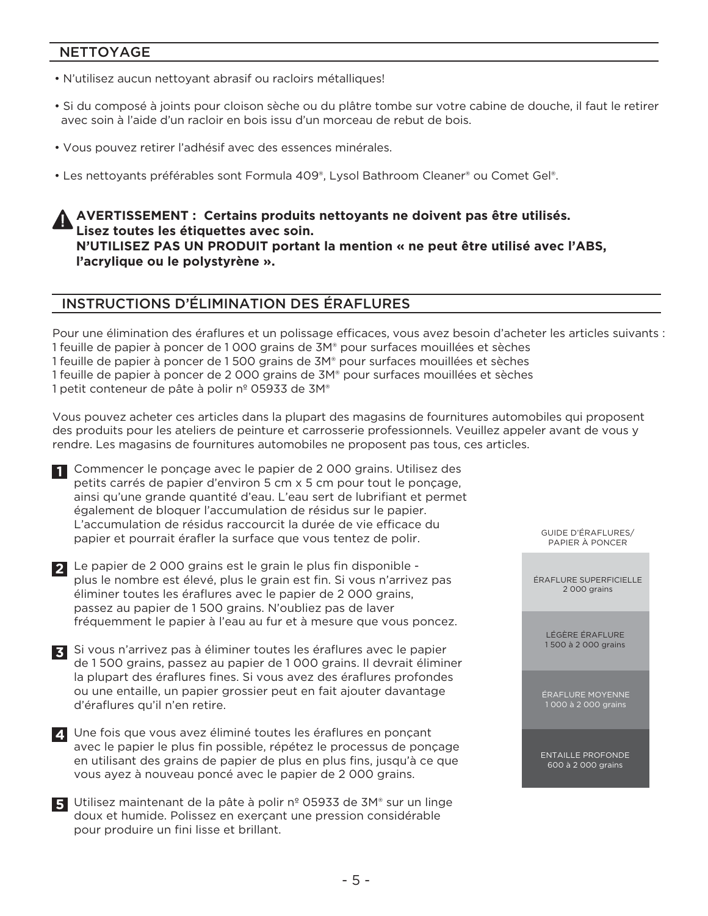#### NETTOYAGE

- N'utilisez aucun nettoyant abrasif ou racloirs métalliques!
- Si du composé à joints pour cloison sèche ou du plâtre tombe sur votre cabine de douche, il faut le retirer avec soin à l'aide d'un racloir en bois issu d'un morceau de rebut de bois.
- Vous pouvez retirer l'adhésif avec des essences minérales.
- Les nettoyants préférables sont Formula 409®, Lysol Bathroom Cleaner® ou Comet Gel®.

**AVERTISSEMENT : Certains produits nettoyants ne doivent pas être utilisés. Lisez toutes les étiquettes avec soin. N'UTILISEZ PAS UN PRODUIT portant la mention « ne peut être utilisé avec l'ABS, l'acrylique ou le polystyrène ».**

#### INSTRUCTIONS D'ÉLIMINATION DES ÉRAFLURES

Pour une élimination des éraflures et un polissage efficaces, vous avez besoin d'acheter les articles suivants : 1 feuille de papier à poncer de 1 000 grains de 3M® pour surfaces mouillées et sèches 1 feuille de papier à poncer de 1 500 grains de 3M® pour surfaces mouillées et sèches 1 feuille de papier à poncer de 2 000 grains de 3M® pour surfaces mouillées et sèches 1 petit conteneur de pâte à polir nº 05933 de 3M®

Vous pouvez acheter ces articles dans la plupart des magasins de fournitures automobiles qui proposent des produits pour les ateliers de peinture et carrosserie professionnels. Veuillez appeler avant de vous y rendre. Les magasins de fournitures automobiles ne proposent pas tous, ces articles.

**1** Commencer le ponçage avec le papier de 2 000 grains. Utilisez des petits carrés de papier d'environ 5 cm x 5 cm pour tout le ponçage, ainsi qu'une grande quantité d'eau. L'eau sert de lubrifiant et permet également de bloquer l'accumulation de résidus sur le papier. L'accumulation de résidus raccourcit la durée de vie efficace du papier et pourrait érafler la surface que vous tentez de polir.

Le papier de 2 000 grains est le grain le plus fin disponible - **2** plus le nombre est élevé, plus le grain est fin. Si vous n'arrivez pas éliminer toutes les éraflures avec le papier de 2 000 grains, passez au papier de 1 500 grains. N'oubliez pas de laver fréquemment le papier à l'eau au fur et à mesure que vous poncez.

Si vous n'arrivez pas à éliminer toutes les éraflures avec le papier **3** de 1 500 grains, passez au papier de 1 000 grains. Il devrait éliminer la plupart des éraflures fines. Si vous avez des éraflures profondes ou une entaille, un papier grossier peut en fait ajouter davantage d'éraflures qu'il n'en retire.

Une fois que vous avez éliminé toutes les éraflures en ponçant **4** avec le papier le plus fin possible, répétez le processus de ponçage en utilisant des grains de papier de plus en plus fins, jusqu'à ce que vous ayez à nouveau poncé avec le papier de 2 000 grains.

Utilisez maintenant de la pâte à polir nº 05933 de 3M® sur un linge **5** doux et humide. Polissez en exerçant une pression considérable pour produire un fini lisse et brillant.

GUIDE D'ÉRAFLURES/ PAPIER À PONCER

ÉRAFLURE SUPERFICIELLE 2 000 grains

> LÉGÈRE ÉRAFLURE 1 500 à 2 000 grains

ÉRAFLURE MOYENNE 1 000 à 2 000 grains

ENTAILLE PROFONDE 600 à 2 000 grains